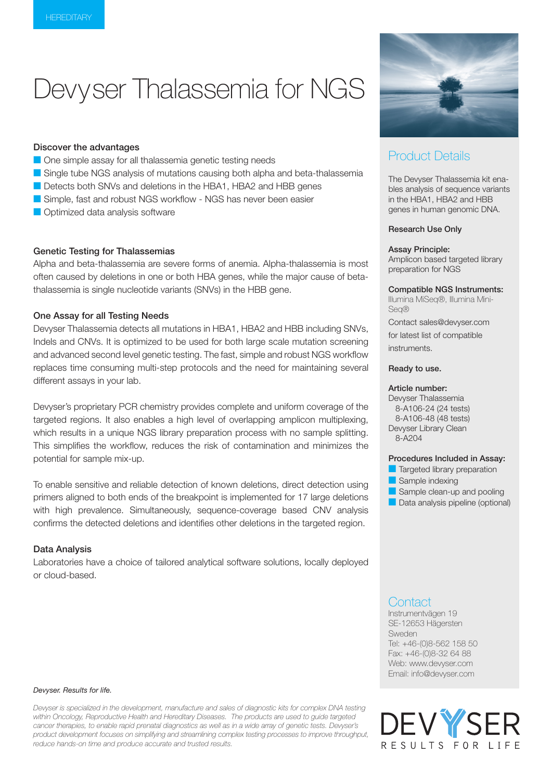# Devyser Thalassemia for NGS

#### Discover the advantages

- **One simple assay for all thalassemia genetic testing needs**
- G Single tube NGS analysis of mutations causing both alpha and beta-thalassemia
- Detects both SNVs and deletions in the HBA1, HBA2 and HBB genes
- **C** Simple, fast and robust NGS workflow NGS has never been easier
- **Optimized data analysis software**

#### Genetic Testing for Thalassemias

Alpha and beta-thalassemia are severe forms of anemia. Alpha-thalassemia is most often caused by deletions in one or both HBA genes, while the major cause of betathalassemia is single nucleotide variants (SNVs) in the HBB gene.

#### One Assay for all Testing Needs

Devyser Thalassemia detects all mutations in HBA1, HBA2 and HBB including SNVs, Indels and CNVs. It is optimized to be used for both large scale mutation screening and advanced second level genetic testing. The fast, simple and robust NGS workflow replaces time consuming multi-step protocols and the need for maintaining several different assays in your lab.

Devyser's proprietary PCR chemistry provides complete and uniform coverage of the targeted regions. It also enables a high level of overlapping amplicon multiplexing, which results in a unique NGS library preparation process with no sample splitting. This simplifies the workflow, reduces the risk of contamination and minimizes the potential for sample mix-up.

To enable sensitive and reliable detection of known deletions, direct detection using primers aligned to both ends of the breakpoint is implemented for 17 large deletions with high prevalence. Simultaneously, sequence-coverage based CNV analysis confirms the detected deletions and identifies other deletions in the targeted region.

#### Data Analysis

Laboratories have a choice of tailored analytical software solutions, locally deployed or cloud-based.

#### *Devyser. Results for life.*

*Devyser is specialized in the development, manufacture and sales of diagnostic kits for complex DNA testing within Oncology, Reproductive Health and Hereditary Diseases. The products are used to guide targeted cancer therapies, to enable rapid prenatal diagnostics as well as in a wide array of genetic tests. Devyser's product development focuses on simplifying and streamlining complex testing processes to improve throughput, reduce hands-on time and produce accurate and trusted results.*



## Product Details

The Devyser Thalassemia kit enables analysis of sequence variants in the HBA1, HBA2 and HBB genes in human genomic DNA.

#### Research Use Only

#### Assay Principle:

Amplicon based targeted library preparation for NGS

#### Compatible NGS Instruments:

Illumina MiSeq®, Illumina Mini-Seq® Contact sales@devyser.com

for latest list of compatible instruments.

#### Ready to use.

#### Article number:

Devyser Thalassemia 8-A106-24 (24 tests) 8-A106-48 (48 tests) Devyser Library Clean 8-A204

#### Procedures Included in Assay:

- **Targeted library preparation**
- Sample indexing
- $\blacksquare$  Sample clean-up and pooling
- **Data analysis pipeline (optional)**

### **Contact**

Instrumentvägen 19 SE-12653 Hägersten Sweden Tel: +46-(0)8-562 158 50 Fax: +46-(0)8-32 64 88 Web: www.devyser.com Email: info@devyser.com